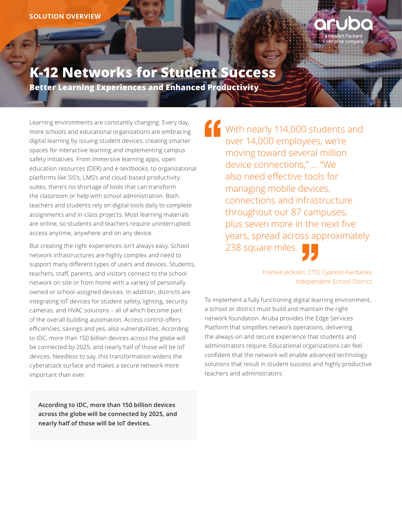

# **K-12 Networks for Student Success**

**Better Learning Experiences and Enhanced Productivity** 

Learning environments are constantly changing. Every day, more schools and educational organizations are embracing digital learning by issuing student devices, creating smarter spaces for interactive learning and implementing campus safety initiatives. From immersive learning apps, open education resources (OER) and e-textbooks, to organizational platforms like SIS's, LMS's and cloud-based productivity suites, there's no shortage of tools that can transform the classroom or help with school administration. Both teachers and students rely on digital tools daily to complete assignments and in-class projects. Most learning materials are online, so students and teachers require uninterrupted access anytime, anywhere and on any device.

But creating the right experiences isn't always easy. School network infrastructures are highly complex and need to support many different types of users and devices. Students, teachers, staff, parents, and visitors connect to the school network on site or from home with a variety of personally owned or school-assigned devices. In addition, districts are integrating IoT devices for student safety, lighting, security cameras, and HVAC solutions – all of which become part of the overall building automation. Access control offers efficiencies, savings and yes, also vulnerabilities. According to IDC, more than 150 billion devices across the globe will be connected by 2025, and nearly half of those will be IoT devices. Needless to say, this transformation widens the cyberattack surface and makes a secure network more important than ever.

**According to IDC, more than 150 billion devices across the globe will be connected by 2025, and nearly half of those will be IoT devices.**

With nearly 114,000 students and over 14,000 employees, we're moving toward several million device connections," … "We also need effective tools for managing mobile devices, connections and infrastructure throughout our 87 campuses, plus seven more in the next five years, spread across approximately 238 square miles.

> Frankie Jackson, CTO, Cypress-Fairbanks Independent School District

To implement a fully functioning digital learning environment, a school or district must build and maintain the right network foundation. Aruba provides the Edge Services Platform that simplifies network operations, delivering the always-on and secure experience that students and administrators require. Educational organizations can feel confident that the network will enable advanced technology solutions that result in student success and highly productive teachers and administrators.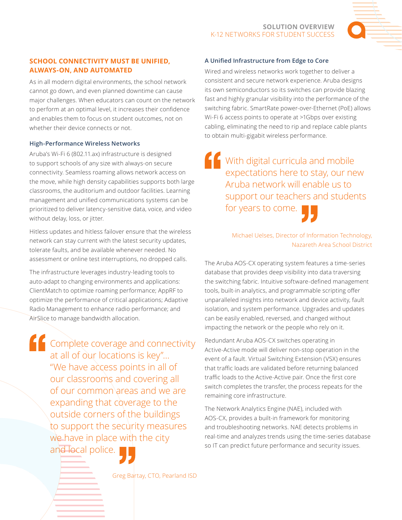

# **SCHOOL CONNECTIVITY MUST BE UNIFIED, ALWAYS-ON, AND AUTOMATED**

As in all modern digital environments, the school network cannot go down, and even planned downtime can cause major challenges. When educators can count on the network to perform at an optimal level, it increases their confidence and enables them to focus on student outcomes, not on whether their device connects or not.

## **High-Performance Wireless Networks**

Aruba's Wi-Fi 6 (802.11.ax) infrastructure is designed to support schools of any size with always-on secure connectivity. Seamless roaming allows network access on the move, while high density capabilities supports both large classrooms, the auditorium and outdoor facilities. Learning management and unified communications systems can be prioritized to deliver latency-sensitive data, voice, and video without delay, loss, or jitter.

Hitless updates and hitless failover ensure that the wireless network can stay current with the latest security updates, tolerate faults, and be available whenever needed. No assessment or online test interruptions, no dropped calls.

The infrastructure leverages industry-leading tools to auto-adapt to changing environments and applications: ClientMatch to optimize roaming performance; AppRF to optimize the performance of critical applications; Adaptive Radio Management to enhance radio performance; and AirSlice to manage bandwidth allocation.

**Complete coverage and connectivity** at all of our locations is key"… "We have access points in all of our classrooms and covering all of our common areas and we are expanding that coverage to the outside corners of the buildings to support the security measures we have in place with the city and local police.

# **A Unified Infrastructure from Edge to Core**

Wired and wireless networks work together to deliver a consistent and secure network experience. Aruba designs its own semiconductors so its switches can provide blazing fast and highly granular visibility into the performance of the switching fabric. SmartRate power-over-Ethernet (PoE) allows Wi-Fi 6 access points to operate at >1Gbps over existing cabling, eliminating the need to rip and replace cable plants to obtain multi-gigabit wireless performance.

**<u>f</u>** With digital curricula and mobile expectations here to stay, our new Aruba network will enable us to support our teachers and students for years to come.



Michael Uelses, Director of Information Technology, Nazareth Area School District

The Aruba AOS-CX operating system features a time-series database that provides deep visibility into data traversing the switching fabric. Intuitive software-defined management tools, built-in analytics, and programmable scripting offer unparalleled insights into network and device activity, fault isolation, and system performance. Upgrades and updates can be easily enabled, reversed, and changed without impacting the network or the people who rely on it.

Redundant Aruba AOS-CX switches operating in Active-Active mode will deliver non-stop operation in the event of a fault. Virtual Switching Extension (VSX) ensures that traffic loads are validated before returning balanced traffic loads to the Active-Active pair. Once the first core switch completes the transfer, the process repeats for the remaining core infrastructure.

The Network Analytics Engine (NAE), included with AOS-CX, provides a built-in framework for monitoring and troubleshooting networks. NAE detects problems in real-time and analyzes trends using the time-series database so IT can predict future performance and security issues.

Greg Bartay, CTO, Pearland ISD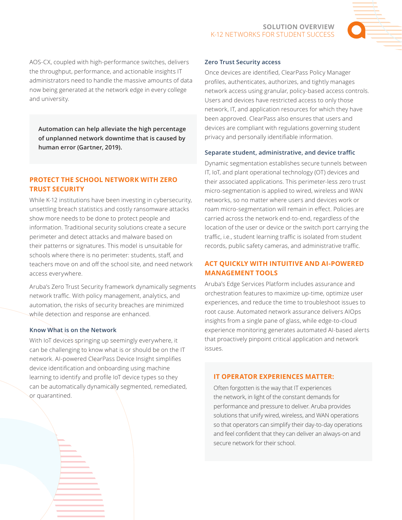

AOS-CX, coupled with high-performance switches, delivers the throughput, performance, and actionable insights IT administrators need to handle the massive amounts of data now being generated at the network edge in every college and university.

**Automation can help alleviate the high percentage of unplanned network downtime that is caused by human error (Gartner, 2019).**

## **PROTECT THE SCHOOL NETWORK WITH ZERO TRUST SECURITY**

While K-12 institutions have been investing in cybersecurity, unsettling breach statistics and costly ransomware attacks show more needs to be done to protect people and information. Traditional security solutions create a secure perimeter and detect attacks and malware based on their patterns or signatures. This model is unsuitable for schools where there is no perimeter: students, staff, and teachers move on and off the school site, and need network access everywhere.

Aruba's Zero Trust Security framework dynamically segments network traffic. With policy management, analytics, and automation, the risks of security breaches are minimized while detection and response are enhanced.

#### **Know What is on the Network**

With IoT devices springing up seemingly everywhere, it can be challenging to know what is or should be on the IT network. AI-powered ClearPass Device Insight simplifies device identification and onboarding using machine learning to identify and profile IoT device types so they can be automatically dynamically segmented, remediated, or quarantined.

#### **Zero Trust Security access**

Once devices are identified, ClearPass Policy Manager profiles, authenticates, authorizes, and tightly manages network access using granular, policy-based access controls. Users and devices have restricted access to only those network, IT, and application resources for which they have been approved. ClearPass also ensures that users and devices are compliant with regulations governing student privacy and personally identifiable information.

#### **Separate student, administrative, and device traffic**

Dynamic segmentation establishes secure tunnels between IT, IoT, and plant operational technology (OT) devices and their associated applications. This perimeter-less zero trust micro-segmentation is applied to wired, wireless and WAN networks, so no matter where users and devices work or roam micro-segmentation will remain in effect. Policies are carried across the network end-to-end, regardless of the location of the user or device or the switch port carrying the traffic, i.e., student learning traffic is isolated from student records, public safety cameras, and administrative traffic.

## **ACT QUICKLY WITH INTUITIVE AND AI-POWERED MANAGEMENT TOOLS**

Aruba's Edge Services Platform includes assurance and orchestration features to maximize up-time, optimize user experiences, and reduce the time to troubleshoot issues to root cause. Automated network assurance delivers AIOps insights from a single pane of glass, while edge-to-cloud experience monitoring generates automated AI-based alerts that proactively pinpoint critical application and network issues.

#### **IT OPERATOR EXPERIENCES MATTER:**

Often forgotten is the way that IT experiences the network, in light of the constant demands for performance and pressure to deliver. Aruba provides solutions that unify wired, wireless, and WAN operations so that operators can simplify their day-to-day operations and feel confident that they can deliver an always-on and secure network for their school.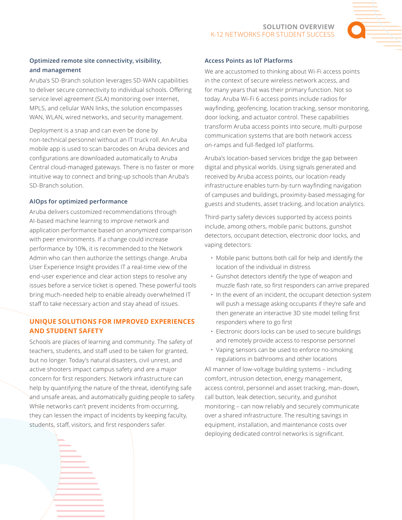

# **Optimized remote site connectivity, visibility, and management**

Aruba's SD-Branch solution leverages SD-WAN capabilities to deliver secure connectivity to individual schools. Offering service level agreement (SLA) monitoring over Internet, MPLS, and cellular WAN links, the solution encompasses WAN, WLAN, wired networks, and security management.

Deployment is a snap and can even be done by non-technical personnel without an IT truck roll. An Aruba mobile app is used to scan barcodes on Aruba devices and configurations are downloaded automatically to Aruba Central cloud-managed gateways. There is no faster or more intuitive way to connect and bring-up schools than Aruba's SD-Branch solution.

# **AIOps for optimized performance**

Aruba delivers customized recommendations through AI-based machine learning to improve network and application performance based on anonymized comparison with peer environments. If a change could increase performance by 10%, it is recommended to the Network Admin who can then authorize the settings change. Aruba User Experience Insight provides IT a real-time view of the end-user experience and clear action steps to resolve any issues before a service ticket is opened. These powerful tools bring much-needed help to enable already overwhelmed IT staff to take necessary action and stay ahead of issues.

# **UNIQUE SOLUTIONS FOR IMPROVED EXPERIENCES AND STUDENT SAFETY**

Schools are places of learning and community. The safety of teachers, students, and staff used to be taken for granted, but no longer. Today's natural disasters, civil unrest, and active shooters impact campus safety and are a major concern for first responders. Network infrastructure can help by quantifying the nature of the threat, identifying safe and unsafe areas, and automatically guiding people to safety. While networks can't prevent incidents from occurring, they can lessen the impact of incidents by keeping faculty, students, staff, visitors, and first responders safer.

# **Access Points as IoT Platforms**

We are accustomed to thinking about Wi-Fi access points in the context of secure wireless network access, and for many years that was their primary function. Not so today. Aruba Wi-Fi 6 access points include radios for wayfinding, geofencing, location tracking, sensor monitoring, door locking, and actuator control. These capabilities transform Aruba access points into secure, multi-purpose communication systems that are both network access on-ramps and full-fledged IoT platforms.

Aruba's location-based services bridge the gap between digital and physical worlds. Using signals generated and received by Aruba access points, our location-ready infrastructure enables turn-by-turn wayfinding navigation of campuses and buildings, proximity-based messaging for guests and students, asset tracking, and location analytics.

Third-party safety devices supported by access points include, among others, mobile panic buttons, gunshot detectors, occupant detection, electronic door locks, and vaping detectors:

- Mobile panic buttons both call for help and identify the location of the individual in distress
- Gunshot detectors identify the type of weapon and muzzle flash rate, so first responders can arrive prepared
- In the event of an incident, the occupant detection system will push a message asking occupants if they're safe and then generate an interactive 3D site model telling first responders where to go first
- Electronic doors locks can be used to secure buildings and remotely provide access to response personnel
- Vaping sensors can be used to enforce no-smoking regulations in bathrooms and other locations

All manner of low-voltage building systems – including comfort, intrusion detection, energy management, access control, personnel and asset tracking, man-down, call button, leak detection, security, and gunshot monitoring – can now reliably and securely communicate over a shared infrastructure. The resulting savings in equipment, installation, and maintenance costs over deploying dedicated control networks is significant.